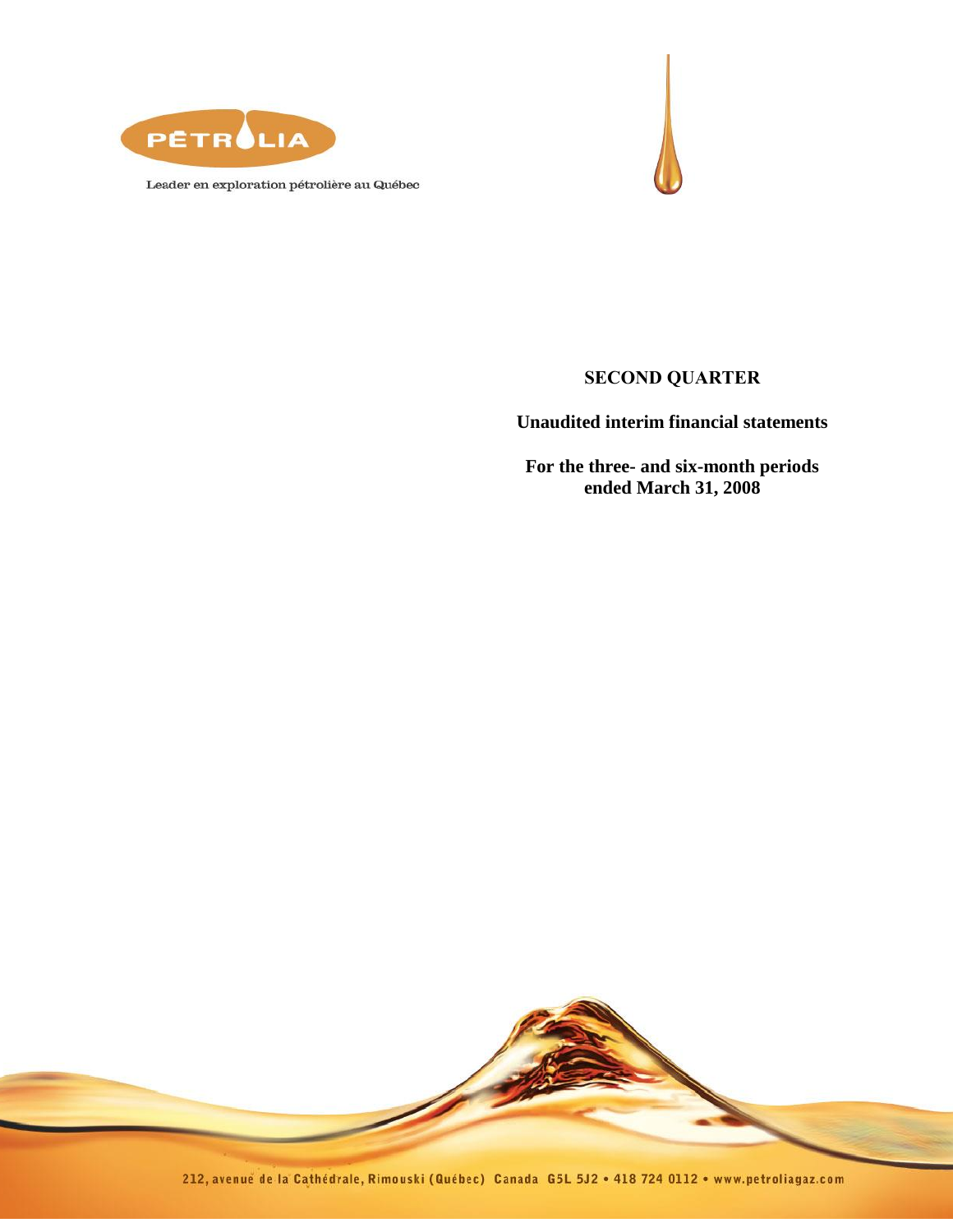

Leader en exploration pétrolière au Québec



# **SECOND QUARTER**

**Unaudited interim financial statements** 

**For the three- and six-month periods ended March 31, 2008**

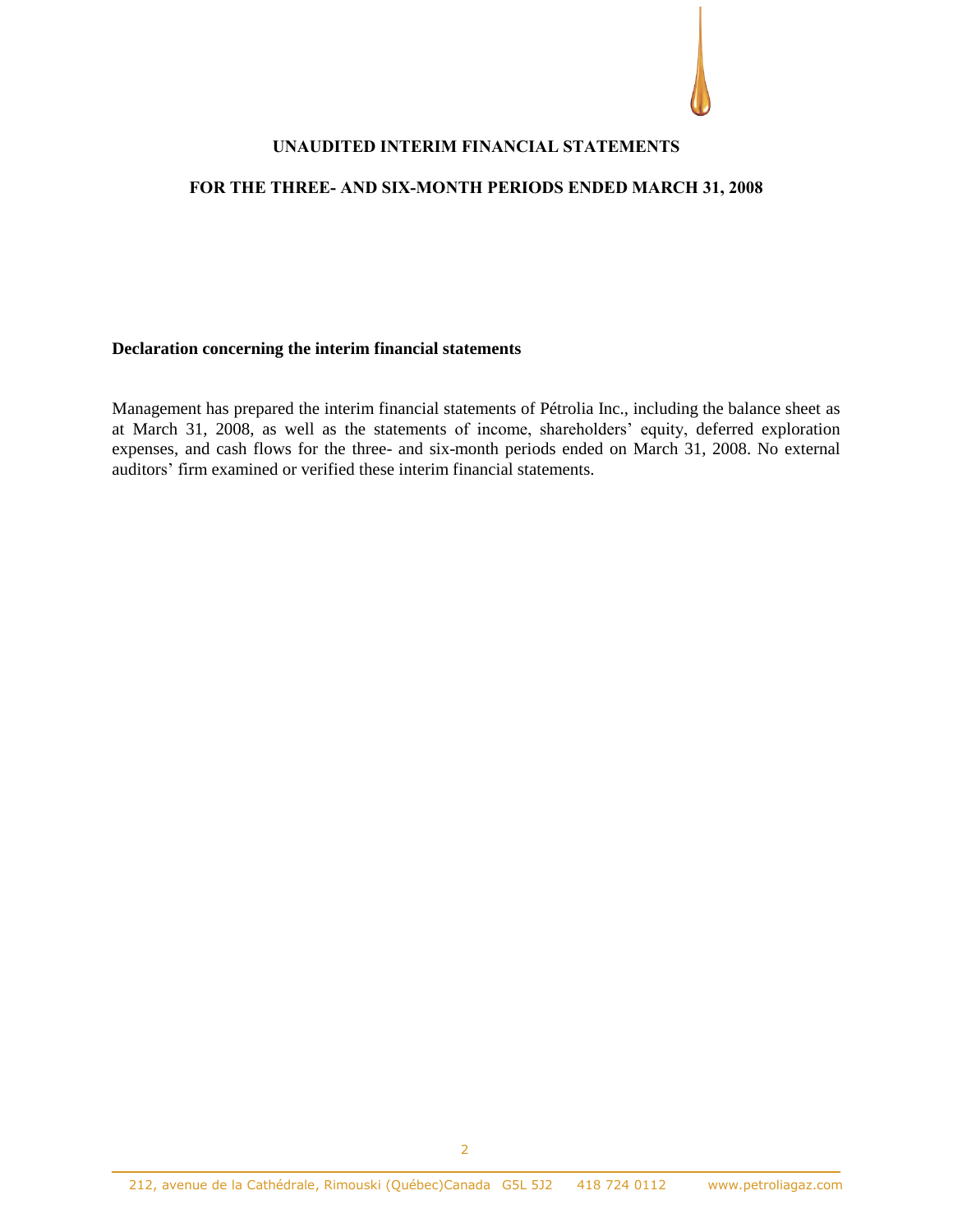#### **UNAUDITED INTERIM FINANCIAL STATEMENTS**

#### **FOR THE THREE- AND SIX-MONTH PERIODS ENDED MARCH 31, 2008**

#### **Declaration concerning the interim financial statements**

Management has prepared the interim financial statements of Pétrolia Inc., including the balance sheet as at March 31, 2008, as well as the statements of income, shareholders' equity, deferred exploration expenses, and cash flows for the three- and six-month periods ended on March 31, 2008. No external auditors' firm examined or verified these interim financial statements.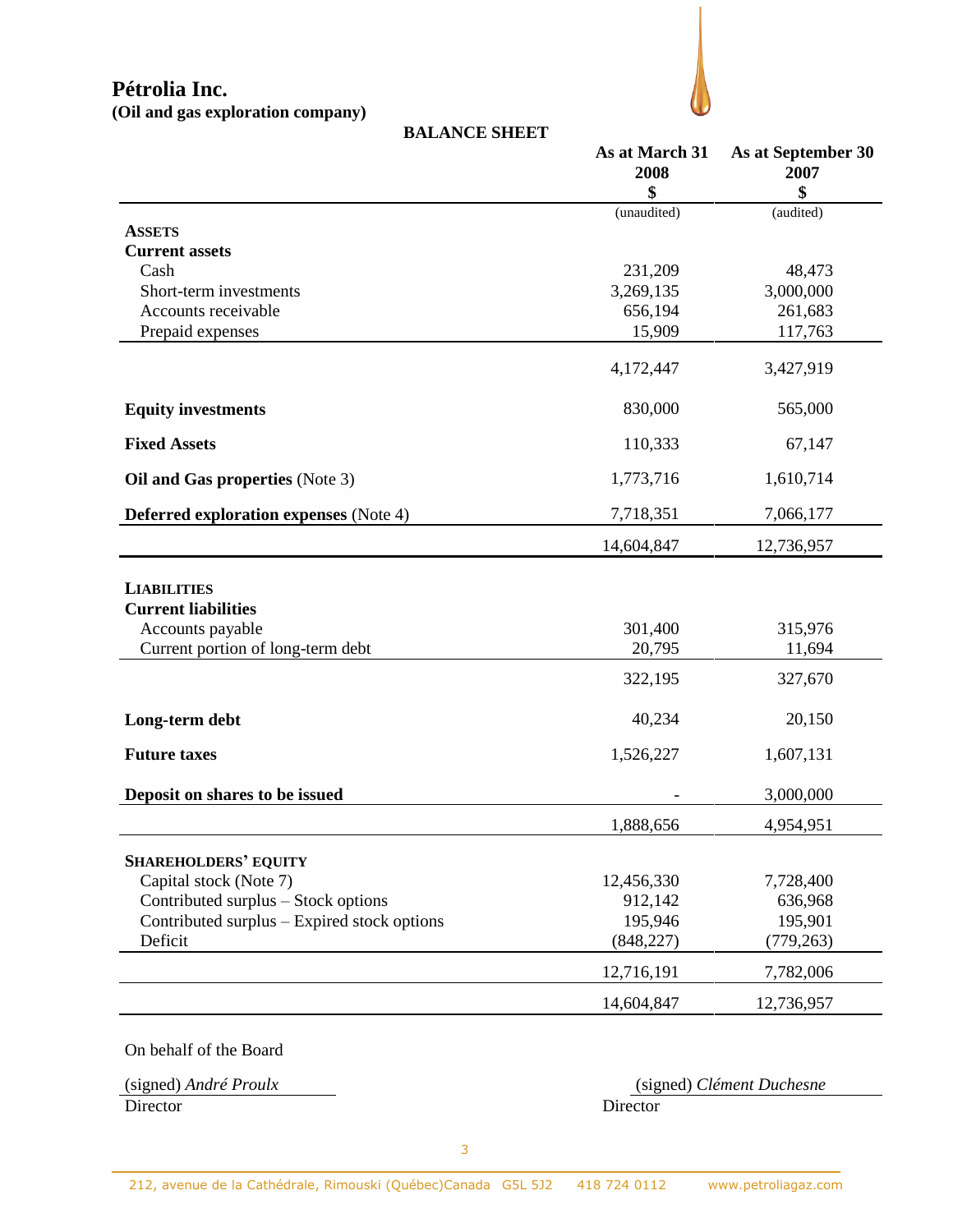**(Oil and gas exploration company)**



| <b>BALANCE SHEET</b> |  |
|----------------------|--|
|----------------------|--|

|                                                                      | As at March 31 | As at September 30 |  |
|----------------------------------------------------------------------|----------------|--------------------|--|
|                                                                      | 2008<br>\$     | 2007<br>\$         |  |
|                                                                      | (unaudited)    | (audited)          |  |
| <b>ASSETS</b>                                                        |                |                    |  |
| <b>Current assets</b>                                                |                |                    |  |
| Cash                                                                 | 231,209        | 48,473             |  |
| Short-term investments                                               | 3,269,135      | 3,000,000          |  |
| Accounts receivable                                                  | 656,194        | 261,683            |  |
| Prepaid expenses                                                     | 15,909         | 117,763            |  |
|                                                                      | 4,172,447      | 3,427,919          |  |
| <b>Equity investments</b>                                            | 830,000        | 565,000            |  |
| <b>Fixed Assets</b>                                                  | 110,333        | 67,147             |  |
| Oil and Gas properties (Note 3)                                      | 1,773,716      | 1,610,714          |  |
| <b>Deferred exploration expenses</b> (Note 4)                        | 7,718,351      | 7,066,177          |  |
|                                                                      | 14,604,847     | 12,736,957         |  |
| <b>LIABILITIES</b><br><b>Current liabilities</b><br>Accounts payable | 301,400        | 315,976            |  |
| Current portion of long-term debt                                    | 20,795         | 11,694             |  |
|                                                                      | 322,195        | 327,670            |  |
| Long-term debt                                                       | 40,234         | 20,150             |  |
| <b>Future taxes</b>                                                  | 1,526,227      | 1,607,131          |  |
| Deposit on shares to be issued                                       |                | 3,000,000          |  |
|                                                                      | 1,888,656      | 4,954,951          |  |
| <b>SHAREHOLDERS' EQUITY</b>                                          |                |                    |  |
| Capital stock (Note 7)                                               | 12,456,330     | 7,728,400          |  |
| Contributed surplus - Stock options                                  | 912,142        | 636,968            |  |
| Contributed surplus - Expired stock options                          | 195,946        | 195,901            |  |
| Deficit                                                              | (848, 227)     | (779, 263)         |  |
|                                                                      | 12,716,191     | 7,782,006          |  |
|                                                                      | 14,604,847     | 12,736,957         |  |

On behalf of the Board

Director Director

(signed) *André Proulx* (signed) *Clément Duchesne*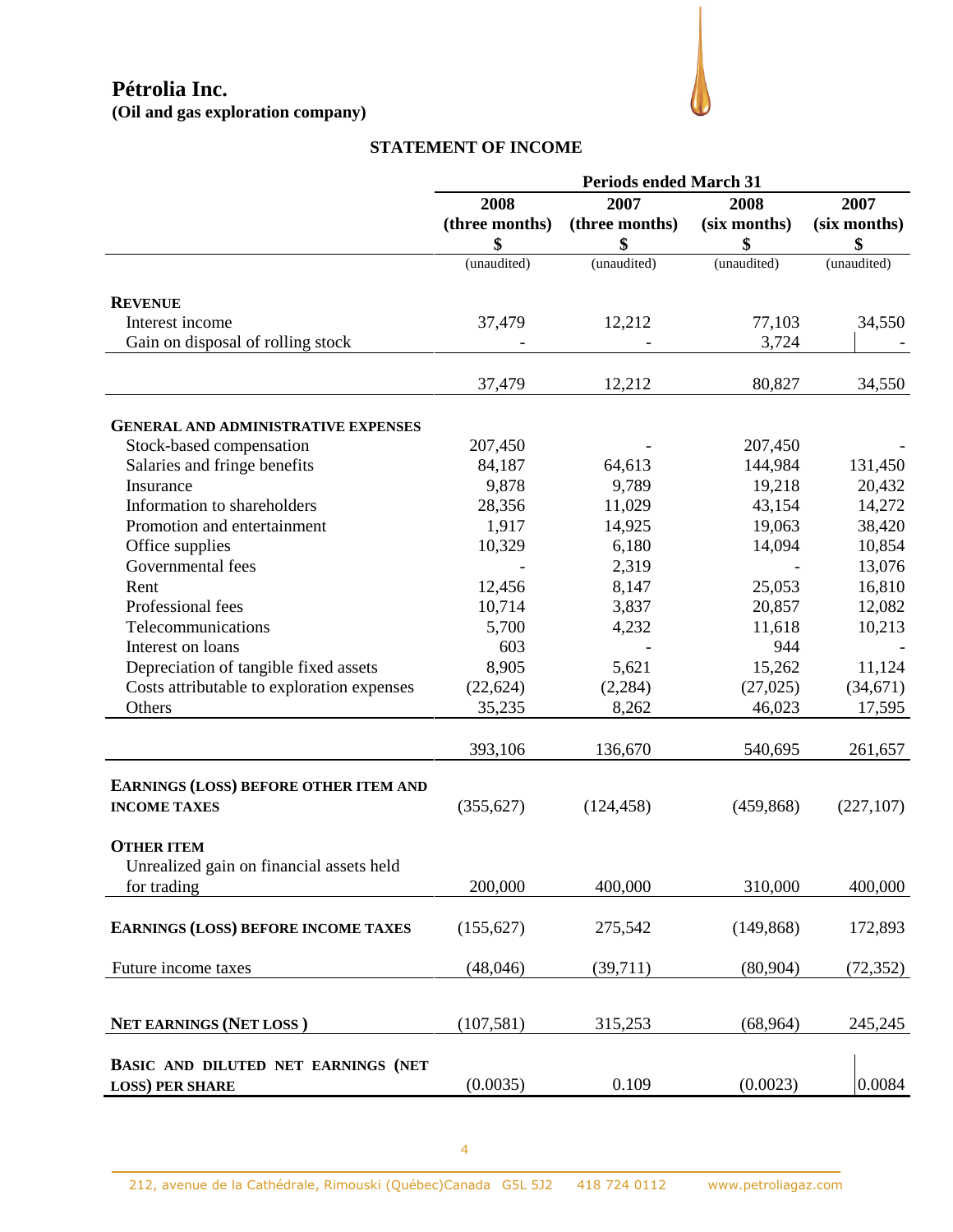**(Oil and gas exploration company)**

# **STATEMENT OF INCOME**

|                                                              | 2008           | 2007           | 2008         | 2007         |
|--------------------------------------------------------------|----------------|----------------|--------------|--------------|
|                                                              | (three months) | (three months) | (six months) | (six months) |
|                                                              | \$             | \$             | \$           | \$           |
|                                                              | (unaudited)    | (unaudited)    | (unaudited)  | (unaudited)  |
| <b>REVENUE</b>                                               |                |                |              |              |
| Interest income                                              | 37,479         | 12,212         | 77,103       | 34,550       |
| Gain on disposal of rolling stock                            |                |                | 3,724        |              |
|                                                              |                |                |              |              |
|                                                              | 37,479         | 12,212         | 80,827       | 34,550       |
| <b>GENERAL AND ADMINISTRATIVE EXPENSES</b>                   |                |                |              |              |
| Stock-based compensation                                     | 207,450        |                | 207,450      |              |
| Salaries and fringe benefits                                 | 84,187         | 64,613         | 144,984      | 131,450      |
| Insurance                                                    | 9,878          | 9,789          | 19,218       | 20,432       |
| Information to shareholders                                  | 28,356         | 11,029         | 43,154       | 14,272       |
| Promotion and entertainment                                  | 1,917          | 14,925         | 19,063       | 38,420       |
| Office supplies                                              | 10,329         | 6,180          | 14,094       | 10,854       |
| Governmental fees                                            |                | 2,319          |              | 13,076       |
| Rent                                                         | 12,456         | 8,147          | 25,053       | 16,810       |
| Professional fees                                            | 10,714         | 3,837          | 20,857       | 12,082       |
| Telecommunications                                           | 5,700          | 4,232          | 11,618       | 10,213       |
| Interest on loans                                            | 603            |                | 944          |              |
| Depreciation of tangible fixed assets                        | 8,905          | 5,621          | 15,262       | 11,124       |
| Costs attributable to exploration expenses                   |                | (2,284)        |              |              |
| Others                                                       | (22, 624)      | 8,262          | (27, 025)    | (34, 671)    |
|                                                              | 35,235         |                | 46,023       | 17,595       |
|                                                              | 393,106        | 136,670        | 540,695      | 261,657      |
|                                                              |                |                |              |              |
| EARNINGS (LOSS) BEFORE OTHER ITEM AND<br><b>INCOME TAXES</b> | (355, 627)     | (124, 458)     | (459, 868)   | (227, 107)   |
|                                                              |                |                |              |              |
| <b>OTHER ITEM</b>                                            |                |                |              |              |
| Unrealized gain on financial assets held                     |                |                |              |              |
| for trading                                                  | 200,000        | 400,000        | 310,000      | 400,000      |
|                                                              |                |                |              |              |
| <b>EARNINGS (LOSS) BEFORE INCOME TAXES</b>                   | (155, 627)     | 275,542        | (149, 868)   | 172,893      |
|                                                              |                |                |              |              |
| Future income taxes                                          | (48,046)       | (39,711)       | (80,904)     | (72, 352)    |
|                                                              |                |                |              |              |
| <b>NET EARNINGS (NET LOSS)</b>                               | (107, 581)     | 315,253        | (68,964)     | 245,245      |
|                                                              |                |                |              |              |
| BASIC AND DILUTED NET EARNINGS (NET                          |                |                |              |              |
| <b>LOSS) PER SHARE</b>                                       | (0.0035)       | 0.109          | (0.0023)     | 0.0084       |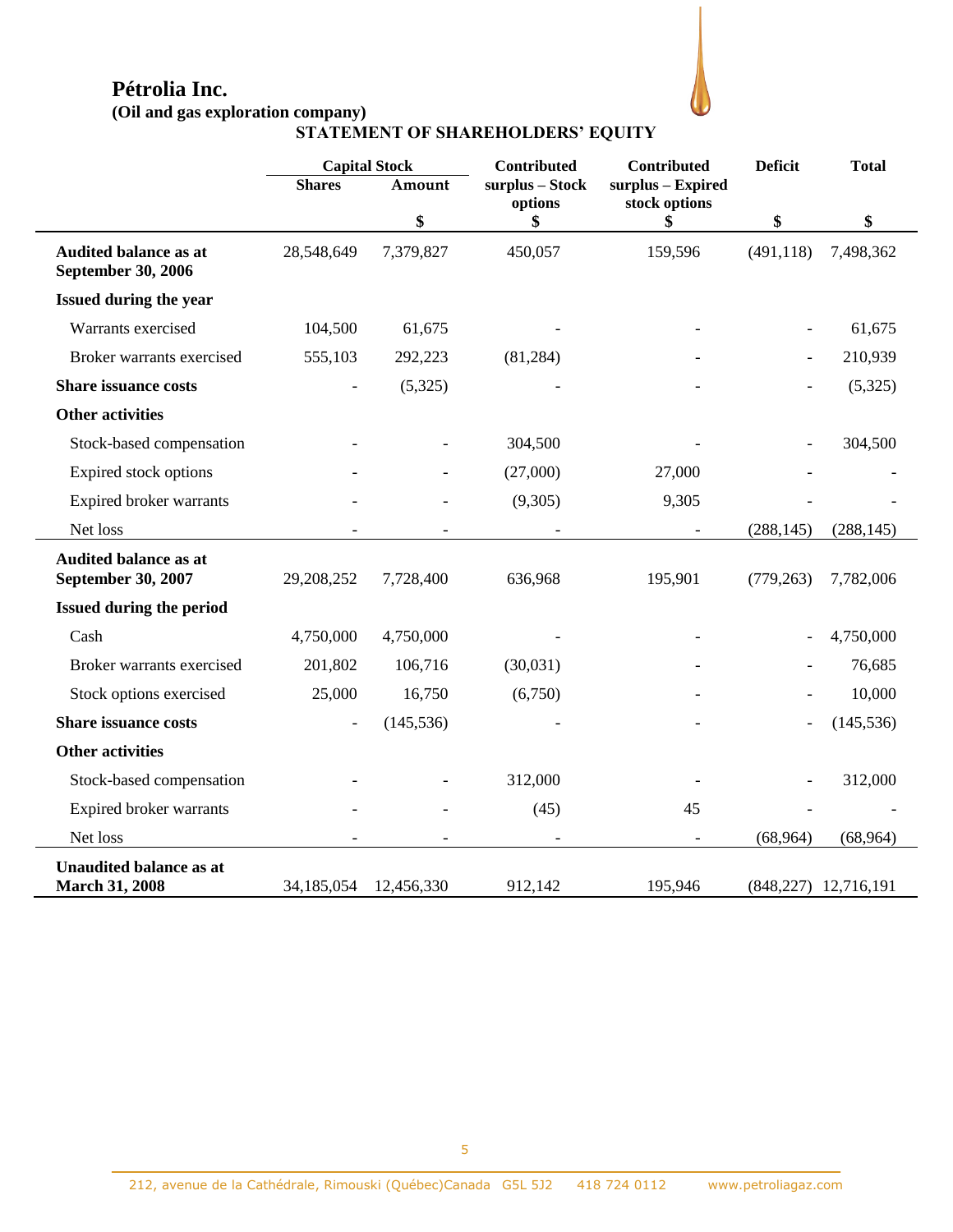**(Oil and gas exploration company)**

# **STATEMENT OF SHAREHOLDERS' EQUITY**

|                                                         |                | <b>Capital Stock</b> | Contributed                | <b>Contributed</b>                 | <b>Deficit</b>           | <b>Total</b>            |
|---------------------------------------------------------|----------------|----------------------|----------------------------|------------------------------------|--------------------------|-------------------------|
|                                                         | <b>Shares</b>  | Amount               | surplus - Stock<br>options | surplus - Expired<br>stock options |                          |                         |
|                                                         |                | \$                   | \$                         | \$                                 | \$                       | \$                      |
| <b>Audited balance as at</b><br>September 30, 2006      | 28,548,649     | 7,379,827            | 450,057                    | 159,596                            | (491, 118)               | 7,498,362               |
| Issued during the year                                  |                |                      |                            |                                    |                          |                         |
| Warrants exercised                                      | 104,500        | 61,675               |                            |                                    |                          | 61,675                  |
| Broker warrants exercised                               | 555,103        | 292,223              | (81, 284)                  |                                    | $\overline{\phantom{a}}$ | 210,939                 |
| <b>Share issuance costs</b>                             |                | (5,325)              |                            |                                    |                          | (5,325)                 |
| <b>Other activities</b>                                 |                |                      |                            |                                    |                          |                         |
| Stock-based compensation                                |                |                      | 304,500                    |                                    |                          | 304,500                 |
| Expired stock options                                   |                |                      | (27,000)                   | 27,000                             |                          |                         |
| Expired broker warrants                                 |                |                      | (9,305)                    | 9,305                              |                          |                         |
| Net loss                                                |                |                      |                            |                                    | (288, 145)               | (288, 145)              |
| <b>Audited balance as at</b><br>September 30, 2007      | 29,208,252     | 7,728,400            | 636,968                    | 195,901                            | (779, 263)               | 7,782,006               |
| <b>Issued during the period</b>                         |                |                      |                            |                                    |                          |                         |
| Cash                                                    | 4,750,000      | 4,750,000            |                            |                                    |                          | 4,750,000               |
| Broker warrants exercised                               | 201,802        | 106,716              | (30,031)                   |                                    |                          | 76,685                  |
| Stock options exercised                                 | 25,000         | 16,750               | (6,750)                    |                                    |                          | 10,000                  |
| <b>Share issuance costs</b>                             | $\overline{a}$ | (145, 536)           |                            |                                    |                          | (145, 536)              |
| <b>Other activities</b>                                 |                |                      |                            |                                    |                          |                         |
| Stock-based compensation                                |                |                      | 312,000                    |                                    |                          | 312,000                 |
| Expired broker warrants                                 |                |                      | (45)                       | 45                                 |                          |                         |
| Net loss                                                |                |                      |                            | $\overline{\phantom{a}}$           | (68, 964)                | (68, 964)               |
| <b>Unaudited balance as at</b><br><b>March 31, 2008</b> | 34,185,054     | 12,456,330           | 912,142                    | 195,946                            |                          | (848, 227) 12, 716, 191 |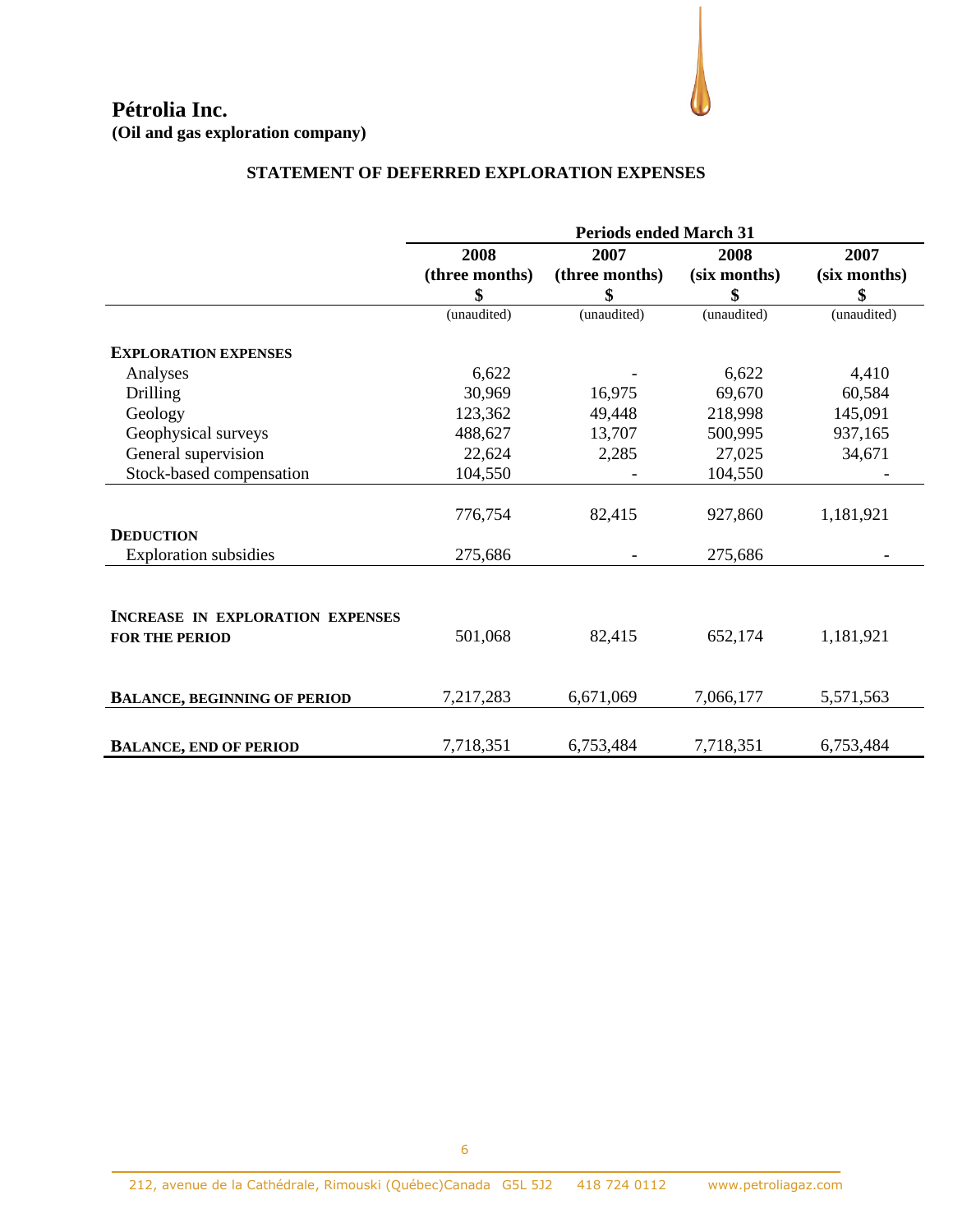# **Pétrolia Inc. (Oil and gas exploration company)**



# **STATEMENT OF DEFERRED EXPLORATION EXPENSES**

|                                     | <b>Periods ended March 31</b> |                |              |              |
|-------------------------------------|-------------------------------|----------------|--------------|--------------|
|                                     | 2008                          | 2007           | 2008         | 2007         |
|                                     | (three months)                | (three months) | (six months) | (six months) |
|                                     | \$                            | \$             | \$           | \$           |
|                                     | (unaudited)                   | (unaudited)    | (unaudited)  | (unaudited)  |
| <b>EXPLORATION EXPENSES</b>         |                               |                |              |              |
| Analyses                            | 6,622                         |                | 6,622        | 4,410        |
| Drilling                            | 30,969                        | 16,975         | 69,670       | 60,584       |
| Geology                             | 123,362                       | 49,448         | 218,998      | 145,091      |
| Geophysical surveys                 | 488,627                       | 13,707         | 500,995      | 937,165      |
| General supervision                 | 22,624                        | 2,285          | 27,025       | 34,671       |
| Stock-based compensation            | 104,550                       |                | 104,550      |              |
|                                     | 776,754                       | 82,415         | 927,860      | 1,181,921    |
| <b>DEDUCTION</b>                    |                               |                |              |              |
| <b>Exploration</b> subsidies        | 275,686                       |                | 275,686      |              |
|                                     |                               |                |              |              |
| INCREASE IN EXPLORATION EXPENSES    |                               |                |              |              |
| <b>FOR THE PERIOD</b>               | 501,068                       | 82,415         | 652,174      | 1,181,921    |
|                                     |                               |                |              |              |
| <b>BALANCE, BEGINNING OF PERIOD</b> | 7,217,283                     | 6,671,069      | 7,066,177    | 5,571,563    |
|                                     |                               |                |              |              |
| <b>BALANCE, END OF PERIOD</b>       | 7,718,351                     | 6,753,484      | 7,718,351    | 6,753,484    |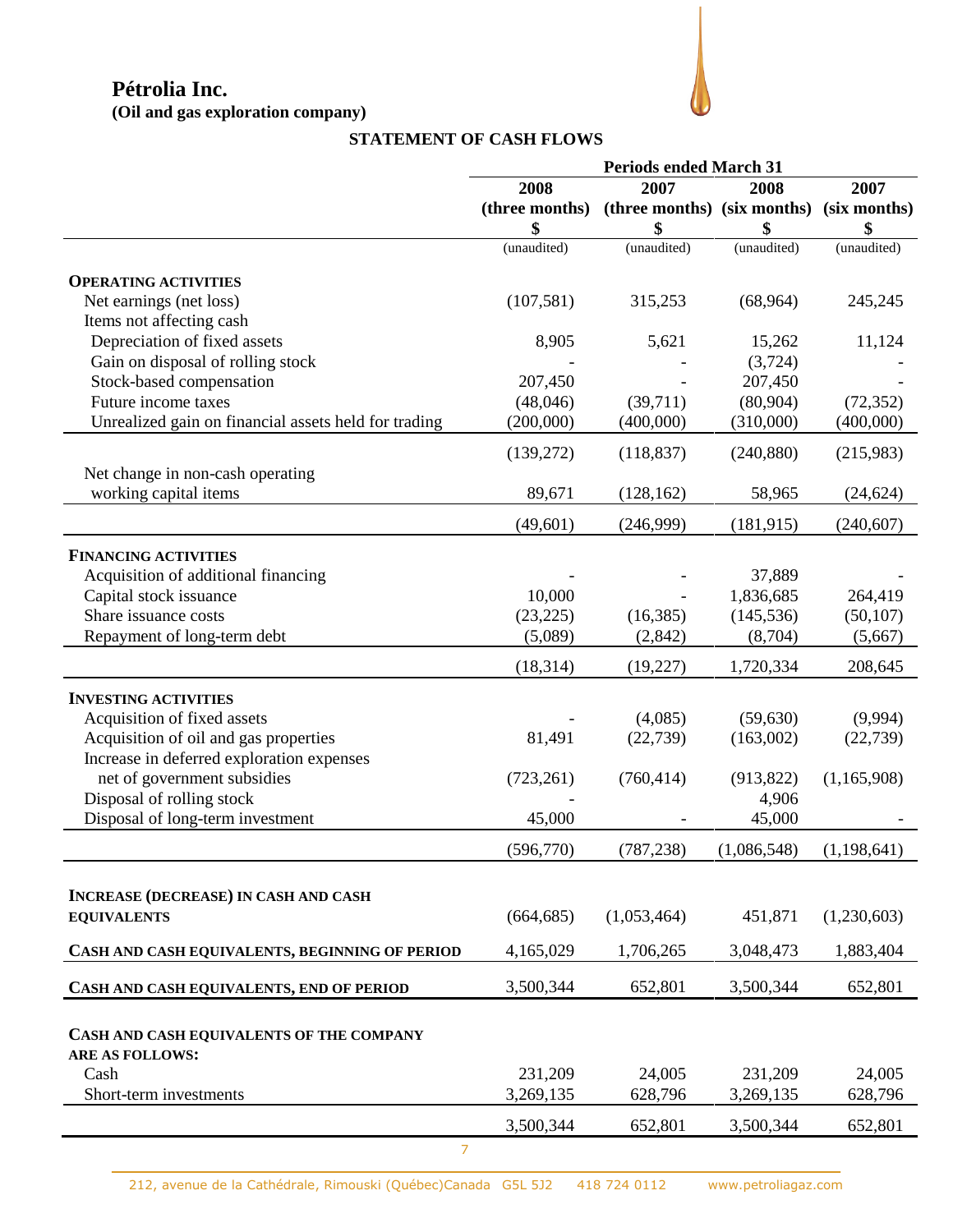**(Oil and gas exploration company)**



# **STATEMENT OF CASH FLOWS**

|                                                           | <b>Periods ended March 31</b> |                             |             |               |
|-----------------------------------------------------------|-------------------------------|-----------------------------|-------------|---------------|
|                                                           | 2008                          | 2007                        | 2008        | 2007          |
|                                                           | (three months)                | (three months) (six months) |             | (six months)  |
|                                                           | \$                            | \$                          | \$          | \$            |
|                                                           | (unaudited)                   | (unaudited)                 | (unaudited) | (unaudited)   |
| <b>OPERATING ACTIVITIES</b>                               |                               |                             |             |               |
| Net earnings (net loss)                                   | (107, 581)                    | 315,253                     | (68,964)    | 245,245       |
| Items not affecting cash                                  |                               |                             |             |               |
| Depreciation of fixed assets                              | 8,905                         | 5,621                       | 15,262      | 11,124        |
| Gain on disposal of rolling stock                         |                               |                             | (3,724)     |               |
| Stock-based compensation                                  | 207,450                       |                             | 207,450     |               |
| Future income taxes                                       | (48,046)                      | (39,711)                    | (80, 904)   | (72, 352)     |
| Unrealized gain on financial assets held for trading      | (200,000)                     | (400,000)                   | (310,000)   | (400,000)     |
|                                                           | (139,272)                     | (118, 837)                  | (240, 880)  | (215,983)     |
| Net change in non-cash operating<br>working capital items | 89,671                        | (128, 162)                  | 58,965      | (24, 624)     |
|                                                           | (49,601)                      | (246,999)                   | (181, 915)  | (240, 607)    |
|                                                           |                               |                             |             |               |
| <b>FINANCING ACTIVITIES</b>                               |                               |                             |             |               |
| Acquisition of additional financing                       |                               |                             | 37,889      |               |
| Capital stock issuance                                    | 10,000                        |                             | 1,836,685   | 264,419       |
| Share issuance costs                                      | (23, 225)                     | (16, 385)                   | (145, 536)  | (50, 107)     |
| Repayment of long-term debt                               | (5,089)                       | (2,842)                     | (8,704)     | (5,667)       |
|                                                           | (18, 314)                     | (19,227)                    | 1,720,334   | 208,645       |
| <b>INVESTING ACTIVITIES</b>                               |                               |                             |             |               |
| Acquisition of fixed assets                               |                               | (4,085)                     | (59, 630)   | (9,994)       |
| Acquisition of oil and gas properties                     | 81,491                        | (22, 739)                   | (163,002)   | (22, 739)     |
| Increase in deferred exploration expenses                 |                               |                             |             |               |
| net of government subsidies                               | (723, 261)                    | (760, 414)                  | (913, 822)  | (1,165,908)   |
| Disposal of rolling stock                                 |                               |                             | 4,906       |               |
| Disposal of long-term investment                          | 45,000                        |                             | 45,000      |               |
|                                                           | (596,770)                     | (787, 238)                  | (1,086,548) | (1, 198, 641) |
|                                                           |                               |                             |             |               |
| <b>INCREASE (DECREASE) IN CASH AND CASH</b>               |                               |                             |             |               |
| <b>EQUIVALENTS</b>                                        | (664, 685)                    | (1,053,464)                 | 451,871     | (1,230,603)   |
| CASH AND CASH EQUIVALENTS, BEGINNING OF PERIOD            | 4,165,029                     | 1,706,265                   | 3,048,473   | 1,883,404     |
| CASH AND CASH EQUIVALENTS, END OF PERIOD                  | 3,500,344                     | 652,801                     | 3,500,344   | 652,801       |
|                                                           |                               |                             |             |               |
| CASH AND CASH EQUIVALENTS OF THE COMPANY                  |                               |                             |             |               |
| <b>ARE AS FOLLOWS:</b>                                    |                               |                             |             |               |
| Cash                                                      | 231,209                       | 24,005                      | 231,209     | 24,005        |
| Short-term investments                                    | 3,269,135                     | 628,796                     | 3,269,135   | 628,796       |
|                                                           | 3,500,344                     | 652,801                     | 3,500,344   | 652,801       |
| $\overline{7}$                                            |                               |                             |             |               |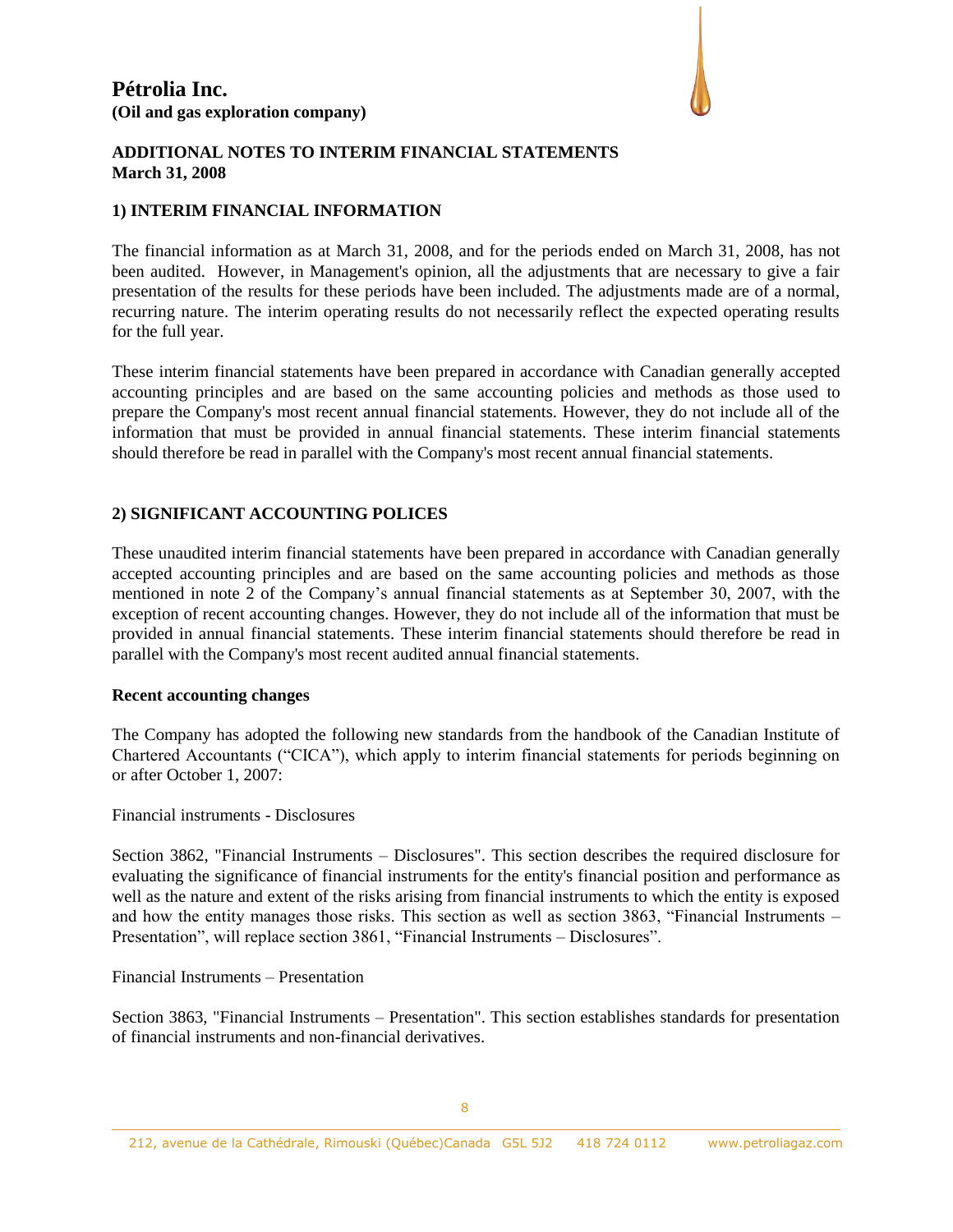

### **1) INTERIM FINANCIAL INFORMATION**

The financial information as at March 31, 2008, and for the periods ended on March 31, 2008, has not been audited. However, in Management's opinion, all the adjustments that are necessary to give a fair presentation of the results for these periods have been included. The adjustments made are of a normal, recurring nature. The interim operating results do not necessarily reflect the expected operating results for the full year.

These interim financial statements have been prepared in accordance with Canadian generally accepted accounting principles and are based on the same accounting policies and methods as those used to prepare the Company's most recent annual financial statements. However, they do not include all of the information that must be provided in annual financial statements. These interim financial statements should therefore be read in parallel with the Company's most recent annual financial statements.

## **2) SIGNIFICANT ACCOUNTING POLICES**

These unaudited interim financial statements have been prepared in accordance with Canadian generally accepted accounting principles and are based on the same accounting policies and methods as those mentioned in note 2 of the Company's annual financial statements as at September 30, 2007, with the exception of recent accounting changes. However, they do not include all of the information that must be provided in annual financial statements. These interim financial statements should therefore be read in parallel with the Company's most recent audited annual financial statements.

#### **Recent accounting changes**

The Company has adopted the following new standards from the handbook of the Canadian Institute of Chartered Accountants ("CICA"), which apply to interim financial statements for periods beginning on or after October 1, 2007:

Financial instruments - Disclosures

Section 3862, "Financial Instruments – Disclosures". This section describes the required disclosure for evaluating the significance of financial instruments for the entity's financial position and performance as well as the nature and extent of the risks arising from financial instruments to which the entity is exposed and how the entity manages those risks. This section as well as section 3863, "Financial Instruments – Presentation", will replace section 3861, "Financial Instruments – Disclosures".

Financial Instruments – Presentation

Section 3863, "Financial Instruments – Presentation". This section establishes standards for presentation of financial instruments and non-financial derivatives.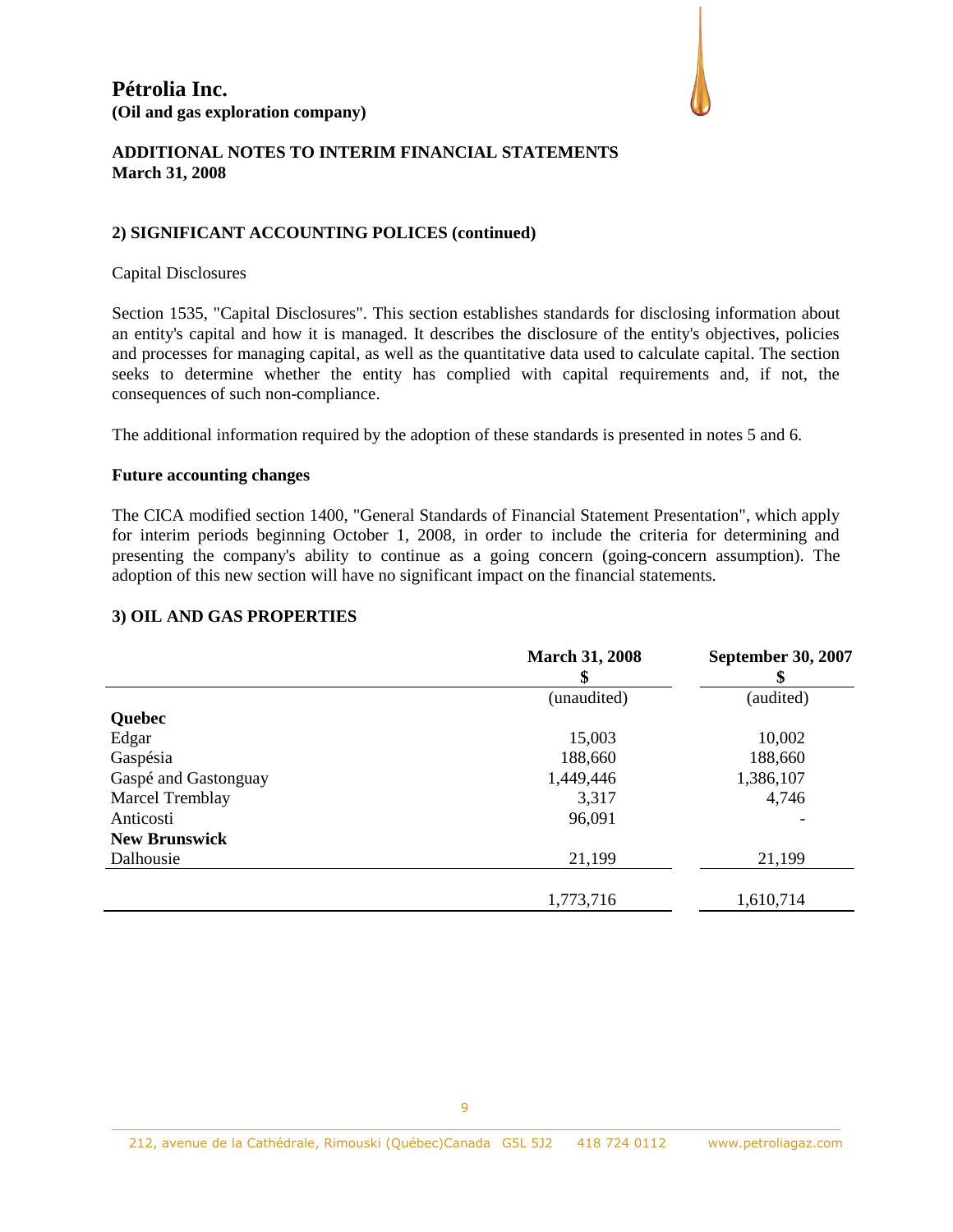

#### **2) SIGNIFICANT ACCOUNTING POLICES (continued)**

#### Capital Disclosures

Section 1535, "Capital Disclosures". This section establishes standards for disclosing information about an entity's capital and how it is managed. It describes the disclosure of the entity's objectives, policies and processes for managing capital, as well as the quantitative data used to calculate capital. The section seeks to determine whether the entity has complied with capital requirements and, if not, the consequences of such non-compliance.

The additional information required by the adoption of these standards is presented in notes 5 and 6.

#### **Future accounting changes**

The CICA modified section 1400, "General Standards of Financial Statement Presentation", which apply for interim periods beginning October 1, 2008, in order to include the criteria for determining and presenting the company's ability to continue as a going concern (going-concern assumption). The adoption of this new section will have no significant impact on the financial statements.

#### **3) OIL AND GAS PROPERTIES**

|                      | <b>March 31, 2008</b><br>\$ | <b>September 30, 2007</b> |
|----------------------|-----------------------------|---------------------------|
|                      | (unaudited)                 | (audited)                 |
| <b>Quebec</b>        |                             |                           |
| Edgar                | 15,003                      | 10,002                    |
| Gaspésia             | 188,660                     | 188,660                   |
| Gaspé and Gastonguay | 1,449,446                   | 1,386,107                 |
| Marcel Tremblay      | 3,317                       | 4,746                     |
| Anticosti            | 96,091                      |                           |
| <b>New Brunswick</b> |                             |                           |
| Dalhousie            | 21,199                      | 21,199                    |
|                      |                             |                           |
|                      | 1,773,716                   | 1,610,714                 |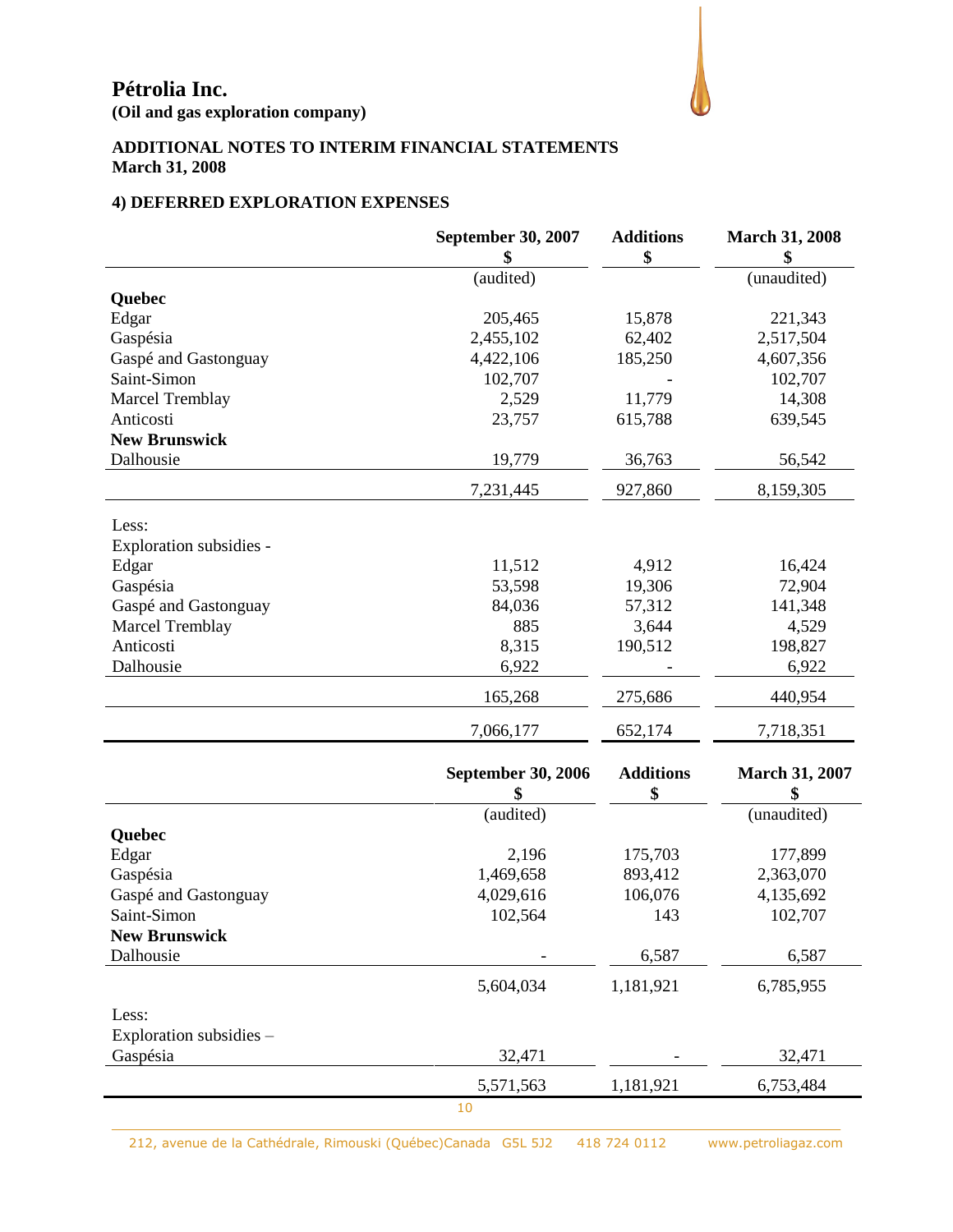**(Oil and gas exploration company)**



# **ADDITIONAL NOTES TO INTERIM FINANCIAL STATEMENTS March 31, 2008**

# **4) DEFERRED EXPLORATION EXPENSES**

|                         | <b>September 30, 2007</b> | <b>Additions</b><br>\$ | <b>March 31, 2008</b><br>\$ |
|-------------------------|---------------------------|------------------------|-----------------------------|
|                         | (audited)                 |                        | (unaudited)                 |
| Quebec                  |                           |                        |                             |
| Edgar                   | 205,465                   | 15,878                 | 221,343                     |
| Gaspésia                | 2,455,102                 | 62,402                 | 2,517,504                   |
| Gaspé and Gastonguay    | 4,422,106                 | 185,250                | 4,607,356                   |
| Saint-Simon             | 102,707                   |                        | 102,707                     |
| <b>Marcel Tremblay</b>  | 2,529                     | 11,779                 | 14,308                      |
| Anticosti               | 23,757                    | 615,788                | 639,545                     |
| <b>New Brunswick</b>    |                           |                        |                             |
| Dalhousie               | 19,779                    | 36,763                 | 56,542                      |
|                         | 7,231,445                 | 927,860                | 8,159,305                   |
| Less:                   |                           |                        |                             |
| Exploration subsidies - |                           |                        |                             |
| Edgar                   | 11,512                    | 4,912                  | 16,424                      |
| Gaspésia                | 53,598                    | 19,306                 | 72,904                      |
| Gaspé and Gastonguay    | 84,036                    | 57,312                 | 141,348                     |
| <b>Marcel Tremblay</b>  | 885                       | 3,644                  | 4,529                       |
| Anticosti               | 8,315                     | 190,512                | 198,827                     |
| Dalhousie               | 6,922                     |                        | 6,922                       |
|                         | 165,268                   | 275,686                | 440,954                     |
|                         | 7,066,177                 | 652,174                | 7,718,351                   |
|                         | <b>September 30, 2006</b> | <b>Additions</b>       | <b>March 31, 2007</b>       |
|                         |                           | \$                     | \$                          |
|                         | (audited)                 |                        | (unaudited)                 |
| Quebec                  |                           |                        |                             |
| Edgar                   | 2,196                     | 175,703                | 177,899                     |
| Gaspésia                | 1,469,658                 | 893,412                | 2,363,070                   |
| Gaspé and Gastonguay    | 4,029,616                 | 106,076                | 4,135,692                   |
| Saint-Simon             | 102,564                   | 143                    | 102,707                     |
| <b>New Brunswick</b>    |                           |                        |                             |
| Dalhousie               |                           | 6,587                  | 6,587                       |
|                         | 5,604,034                 | 1,181,921              | 6,785,955                   |
| Less:                   |                           |                        |                             |
| Exploration subsidies - |                           |                        |                             |
| Gaspésia                | 32,471                    |                        | 32,471                      |
|                         | 5,571,563                 | 1,181,921              | 6,753,484                   |
|                         | 10                        |                        |                             |

212, avenue de la Cathédrale, Rimouski (Québec)Canada G5L 5J2 418 724 0112 www.petroliagaz.com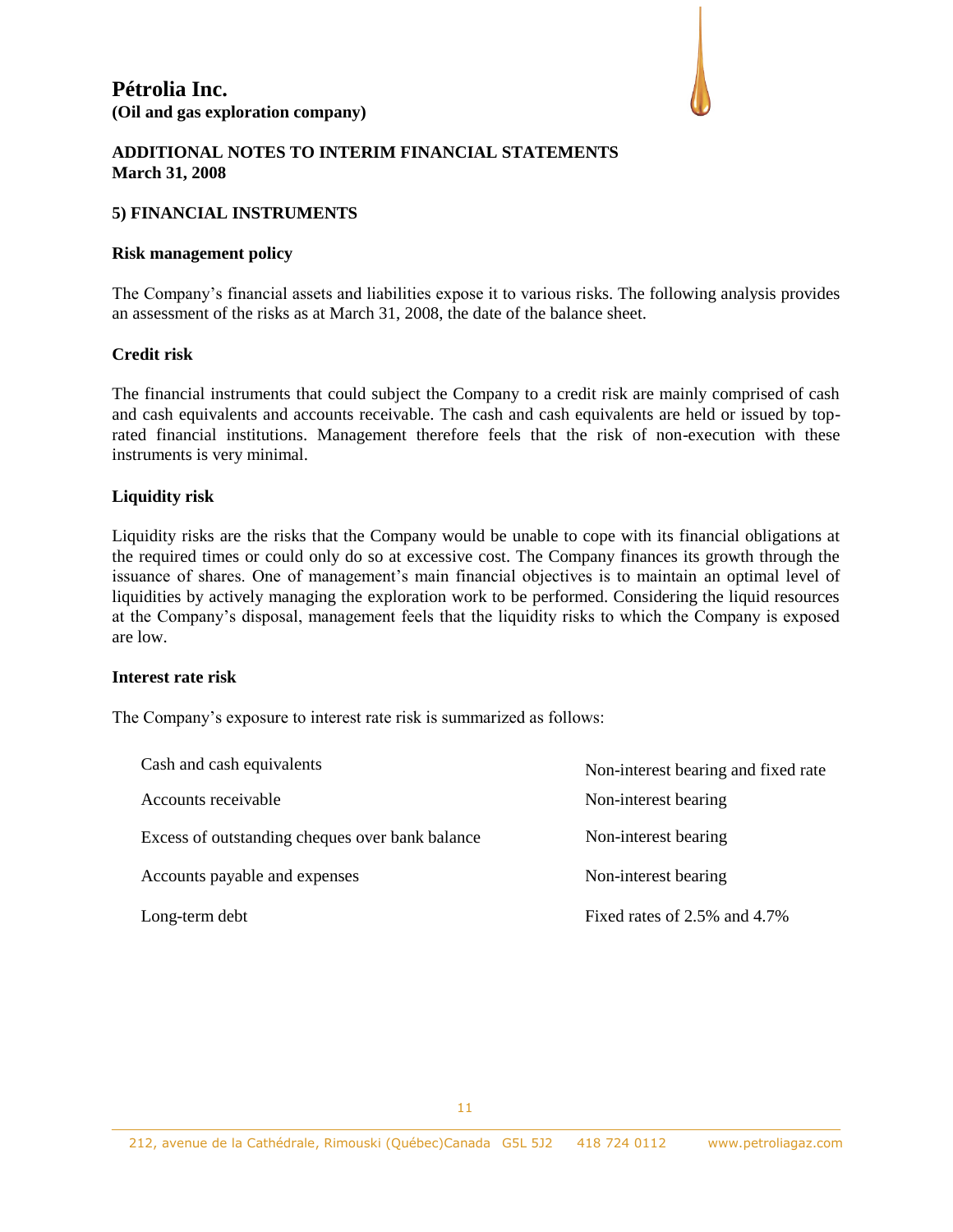

## **5) FINANCIAL INSTRUMENTS**

#### **Risk management policy**

The Company's financial assets and liabilities expose it to various risks. The following analysis provides an assessment of the risks as at March 31, 2008, the date of the balance sheet.

#### **Credit risk**

The financial instruments that could subject the Company to a credit risk are mainly comprised of cash and cash equivalents and accounts receivable. The cash and cash equivalents are held or issued by toprated financial institutions. Management therefore feels that the risk of non-execution with these instruments is very minimal.

#### **Liquidity risk**

Liquidity risks are the risks that the Company would be unable to cope with its financial obligations at the required times or could only do so at excessive cost. The Company finances its growth through the issuance of shares. One of management's main financial objectives is to maintain an optimal level of liquidities by actively managing the exploration work to be performed. Considering the liquid resources at the Company's disposal, management feels that the liquidity risks to which the Company is exposed are low.

#### **Interest rate risk**

The Company's exposure to interest rate risk is summarized as follows:

| Cash and cash equivalents                       | Non-interest bearing and fixed rate |
|-------------------------------------------------|-------------------------------------|
| Accounts receivable                             | Non-interest bearing                |
| Excess of outstanding cheques over bank balance | Non-interest bearing                |
| Accounts payable and expenses                   | Non-interest bearing                |
| Long-term debt                                  | Fixed rates of 2.5% and 4.7%        |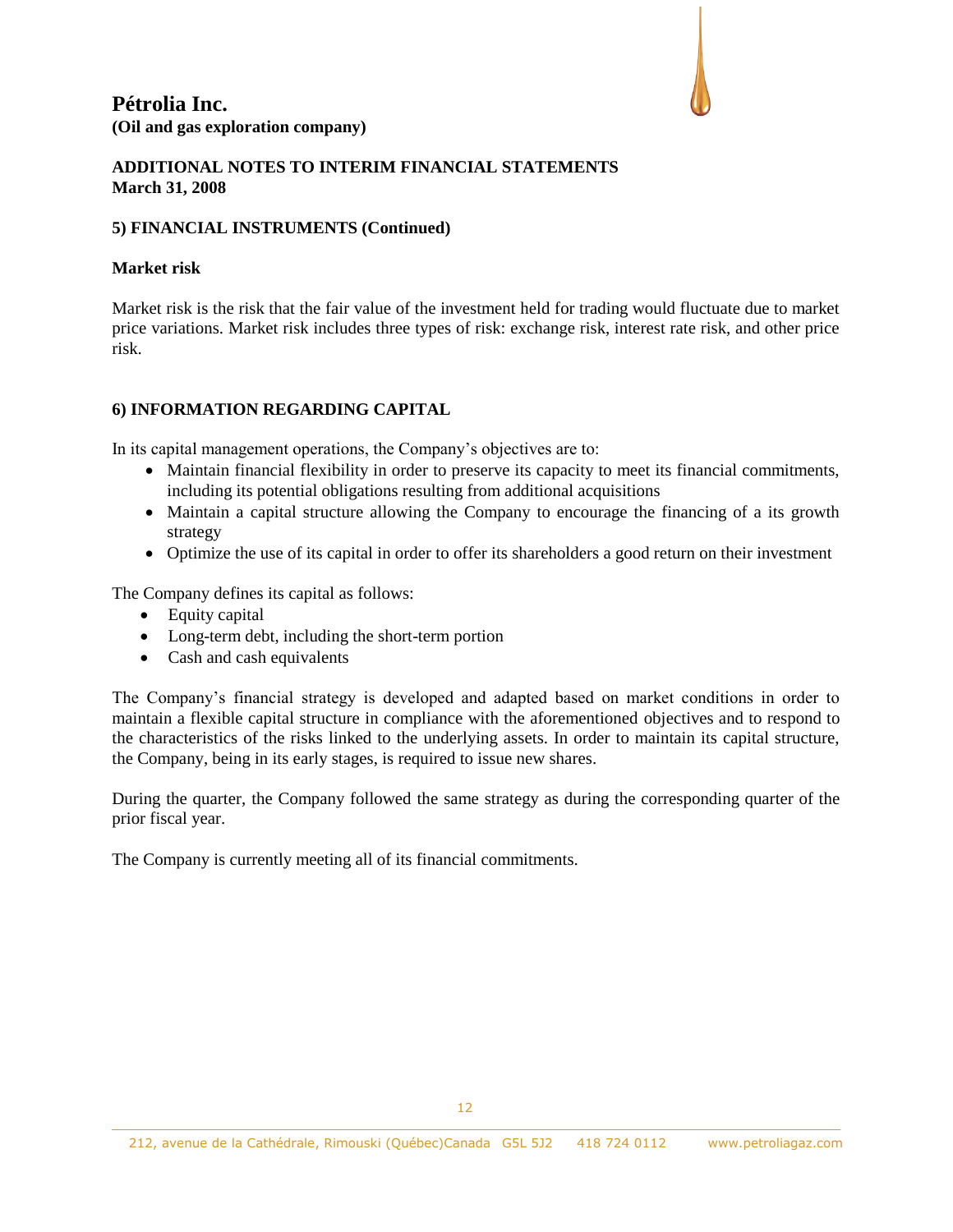

# **5) FINANCIAL INSTRUMENTS (Continued)**

# **Market risk**

Market risk is the risk that the fair value of the investment held for trading would fluctuate due to market price variations. Market risk includes three types of risk: exchange risk, interest rate risk, and other price risk.

# **6) INFORMATION REGARDING CAPITAL**

In its capital management operations, the Company's objectives are to:

- Maintain financial flexibility in order to preserve its capacity to meet its financial commitments, including its potential obligations resulting from additional acquisitions
- Maintain a capital structure allowing the Company to encourage the financing of a its growth strategy
- Optimize the use of its capital in order to offer its shareholders a good return on their investment

The Company defines its capital as follows:

- Equity capital
- Long-term debt, including the short-term portion
- Cash and cash equivalents

The Company's financial strategy is developed and adapted based on market conditions in order to maintain a flexible capital structure in compliance with the aforementioned objectives and to respond to the characteristics of the risks linked to the underlying assets. In order to maintain its capital structure, the Company, being in its early stages, is required to issue new shares.

During the quarter, the Company followed the same strategy as during the corresponding quarter of the prior fiscal year.

The Company is currently meeting all of its financial commitments.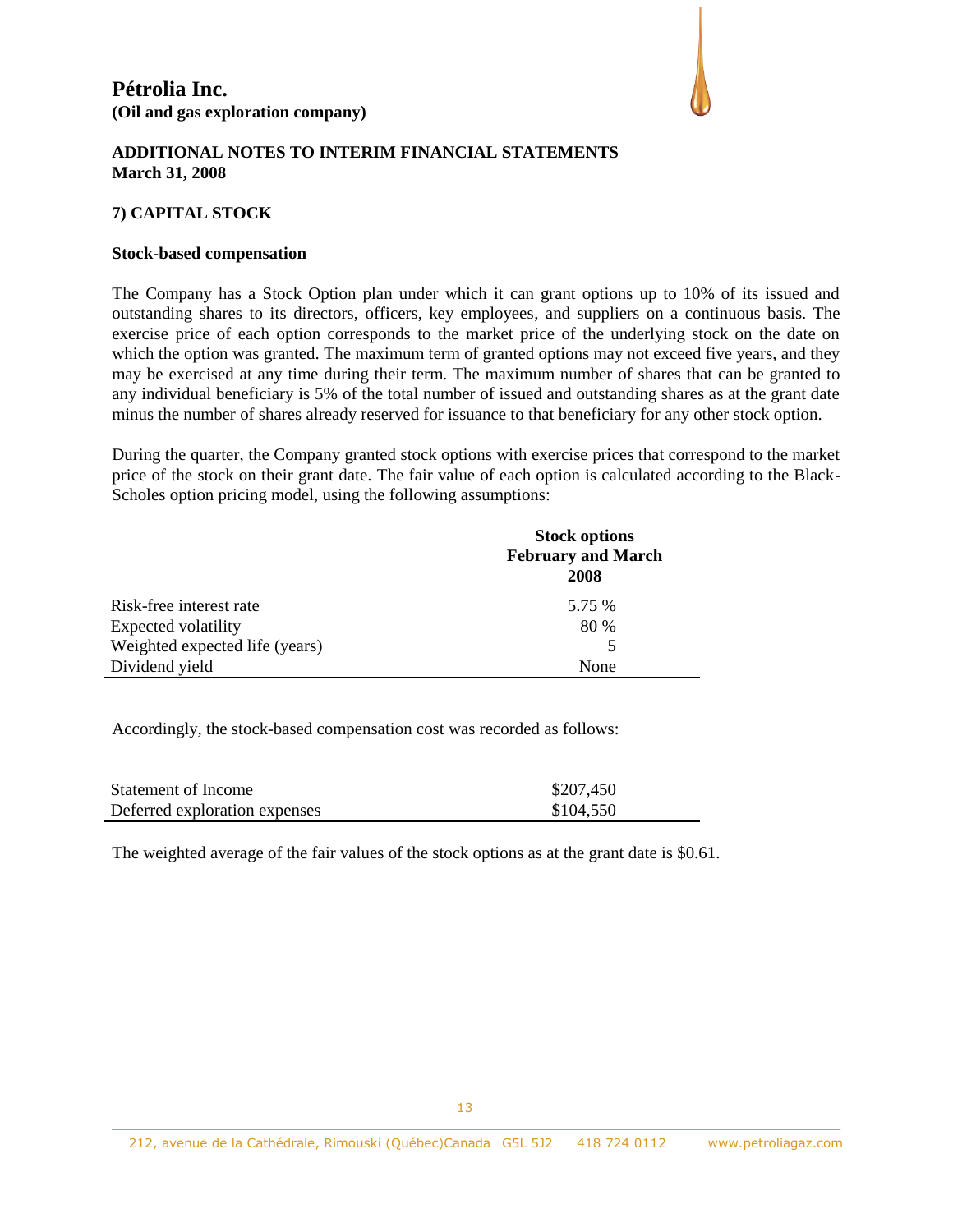

## **7) CAPITAL STOCK**

#### **Stock-based compensation**

The Company has a Stock Option plan under which it can grant options up to 10% of its issued and outstanding shares to its directors, officers, key employees, and suppliers on a continuous basis. The exercise price of each option corresponds to the market price of the underlying stock on the date on which the option was granted. The maximum term of granted options may not exceed five years, and they may be exercised at any time during their term. The maximum number of shares that can be granted to any individual beneficiary is 5% of the total number of issued and outstanding shares as at the grant date minus the number of shares already reserved for issuance to that beneficiary for any other stock option.

During the quarter, the Company granted stock options with exercise prices that correspond to the market price of the stock on their grant date. The fair value of each option is calculated according to the Black-Scholes option pricing model, using the following assumptions:

|                                | <b>Stock options</b><br><b>February and March</b><br>2008 |
|--------------------------------|-----------------------------------------------------------|
| Risk-free interest rate        | 5.75 %                                                    |
| <b>Expected volatility</b>     | 80 %                                                      |
| Weighted expected life (years) |                                                           |
| Dividend yield                 | None                                                      |

Accordingly, the stock-based compensation cost was recorded as follows:

| Statement of Income           | \$207,450 |
|-------------------------------|-----------|
| Deferred exploration expenses | \$104,550 |

The weighted average of the fair values of the stock options as at the grant date is \$0.61.